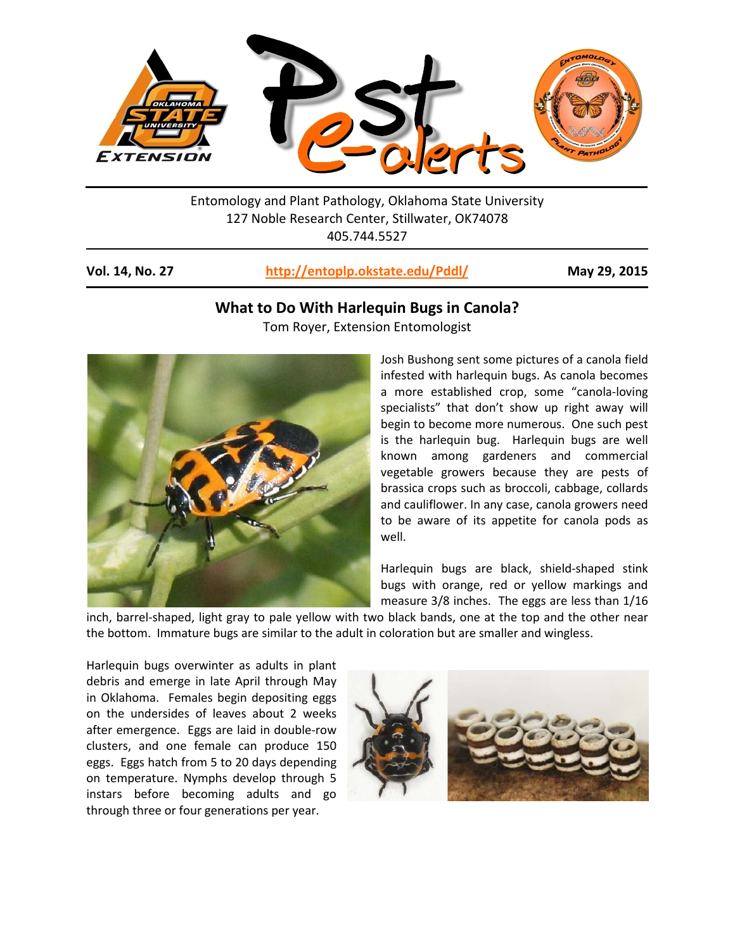

Entomology and Plant Pathology, Oklahoma State University 127 Noble Research Center, Stillwater, OK74078 405.744.5527

## **Vol. 14, No. 27 <http://entoplp.okstate.edu/Pddl/> May 29, 2015**

## **What to Do With Harlequin Bugs in Canola?**

Tom Royer, Extension Entomologist



Josh Bushong sent some pictures of a canola field infested with harlequin bugs. As canola becomes a more established crop, some "canola-loving specialists" that don't show up right away will begin to become more numerous. One such pest is the harlequin bug. Harlequin bugs are well known among gardeners and commercial vegetable growers because they are pests of brassica crops such as broccoli, cabbage, collards and cauliflower. In any case, canola growers need to be aware of its appetite for canola pods as well.

Harlequin bugs are black, shield-shaped stink bugs with orange, red or yellow markings and measure 3/8 inches. The eggs are less than 1/16

inch, barrel-shaped, light gray to pale yellow with two black bands, one at the top and the other near the bottom. Immature bugs are similar to the adult in coloration but are smaller and wingless.

Harlequin bugs overwinter as adults in plant debris and emerge in late April through May in Oklahoma. Females begin depositing eggs on the undersides of leaves about 2 weeks after emergence. Eggs are laid in double-row clusters, and one female can produce 150 eggs. Eggs hatch from 5 to 20 days depending on temperature. Nymphs develop through 5 instars before becoming adults and go through three or four generations per year.

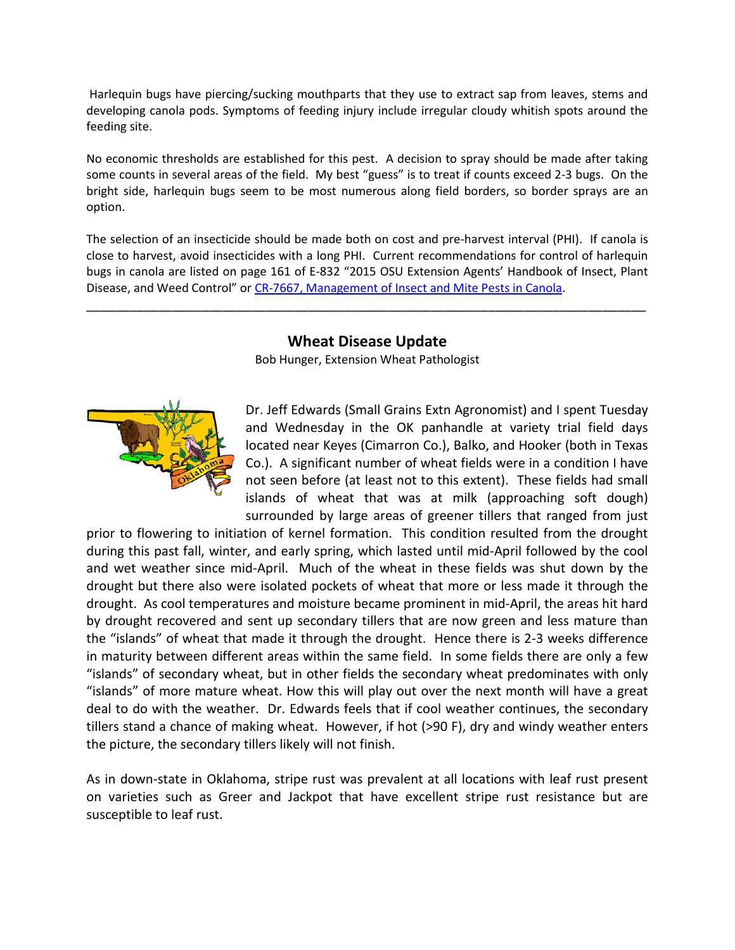Harlequin bugs have piercing/sucking mouthparts that they use to extract sap from leaves, stems and developing canola pods. Symptoms of feeding injury include irregular cloudy whitish spots around the feeding site.

No economic thresholds are established for this pest. A decision to spray should be made after taking some counts in several areas of the field. My best "guess" is to treat if counts exceed 2-3 bugs. On the bright side, harlequin bugs seem to be most numerous along field borders, so border sprays are an option.

The selection of an insecticide should be made both on cost and pre-harvest interval (PHI). If canola is close to harvest, avoid insecticides with a long PHI. Current recommendations for control of harlequin bugs in canola are listed on page 161 of E-832 "2015 OSU Extension Agents' Handbook of Insect, Plant Disease, and Weed Control" or [CR-7667, Management of Insect and](http://osufacts.okstate.edu/docushare/dsweb/Get/Document-3045/CR-7667web2011.pdf) Mite Pests in Canola.

## **Wheat Disease Update**

\_\_\_\_\_\_\_\_\_\_\_\_\_\_\_\_\_\_\_\_\_\_\_\_\_\_\_\_\_\_\_\_\_\_\_\_\_\_\_\_\_\_\_\_\_\_\_\_\_\_\_\_\_\_\_\_\_\_\_\_\_\_\_\_\_\_\_\_\_\_\_\_\_\_\_\_\_\_

Bob Hunger, Extension Wheat Pathologist



Dr. Jeff Edwards (Small Grains Extn Agronomist) and I spent Tuesday and Wednesday in the OK panhandle at variety trial field days located near Keyes (Cimarron Co.), Balko, and Hooker (both in Texas Co.). A significant number of wheat fields were in a condition I have not seen before (at least not to this extent). These fields had small islands of wheat that was at milk (approaching soft dough) surrounded by large areas of greener tillers that ranged from just

prior to flowering to initiation of kernel formation. This condition resulted from the drought during this past fall, winter, and early spring, which lasted until mid-April followed by the cool and wet weather since mid-April. Much of the wheat in these fields was shut down by the drought but there also were isolated pockets of wheat that more or less made it through the drought. As cool temperatures and moisture became prominent in mid-April, the areas hit hard by drought recovered and sent up secondary tillers that are now green and less mature than the "islands" of wheat that made it through the drought. Hence there is 2-3 weeks difference in maturity between different areas within the same field. In some fields there are only a few "islands" of secondary wheat, but in other fields the secondary wheat predominates with only "islands" of more mature wheat. How this will play out over the next month will have a great deal to do with the weather. Dr. Edwards feels that if cool weather continues, the secondary tillers stand a chance of making wheat. However, if hot (>90 F), dry and windy weather enters the picture, the secondary tillers likely will not finish.

As in down-state in Oklahoma, stripe rust was prevalent at all locations with leaf rust present on varieties such as Greer and Jackpot that have excellent stripe rust resistance but are susceptible to leaf rust.